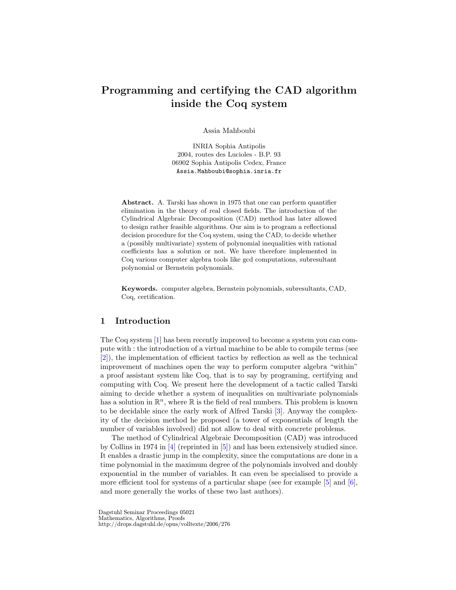# Programming and certifying the CAD algorithm inside the Coq system

Assia Mahboubi

INRIA Sophia Antipolis 2004, routes des Lucioles - B.P. 93 06902 Sophia Antipolis Cedex, France Assia.Mahboubi@sophia.inria.fr

Abstract. A. Tarski has shown in 1975 that one can perform quantifier elimination in the theory of real closed fields. The introduction of the Cylindrical Algebraic Decomposition (CAD) method has later allowed to design rather feasible algorithms. Our aim is to program a reflectional decision procedure for the Coq system, using the CAD, to decide whether a (possibly multivariate) system of polynomial inequalities with rational coefficients has a solution or not. We have therefore implemented in Coq various computer algebra tools like gcd computations, subresultant polynomial or Bernstein polynomials.

Keywords. computer algebra, Bernstein polynomials, subresultants, CAD, Coq, certification.

## 1 Introduction

The Coq system [\[1\]](#page-16-0) has been recently improved to become a system you can compute with : the introduction of a virtual machine to be able to compile terms (see [\[2\]](#page-16-1)), the implementation of efficient tactics by reflection as well as the technical improvement of machines open the way to perform computer algebra "within" a proof assistant system like Coq, that is to say by programing, certifying and computing with Coq. We present here the development of a tactic called Tarski aiming to decide whether a system of inequalities on multivariate polynomials has a solution in  $\mathbb{R}^n$ , where  $\mathbb R$  is the field of real numbers. This problem is known to be decidable since the early work of Alfred Tarski [\[3\]](#page-16-2). Anyway the complexity of the decision method he proposed (a tower of exponentials of length the number of variables involved) did not allow to deal with concrete problems.

The method of Cylindrical Algebraic Decomposition (CAD) was introduced by Collins in 1974 in [\[4\]](#page-17-0) (reprinted in [\[5\]](#page-17-1)) and has been extensively studied since. It enables a drastic jump in the complexity, since the computations are done in a time polynomial in the maximum degree of the polynomials involved and doubly exponential in the number of variables. It can even be specialised to provide a more efficient tool for systems of a particular shape (see for example  $[5]$  and  $[6]$ , and more generally the works of these two last authors).

Dagstuhl Seminar Proceedings 05021 Mathematics, Algorithms, Proofs http://drops.dagstuhl.de/opus/volltexte/2006/276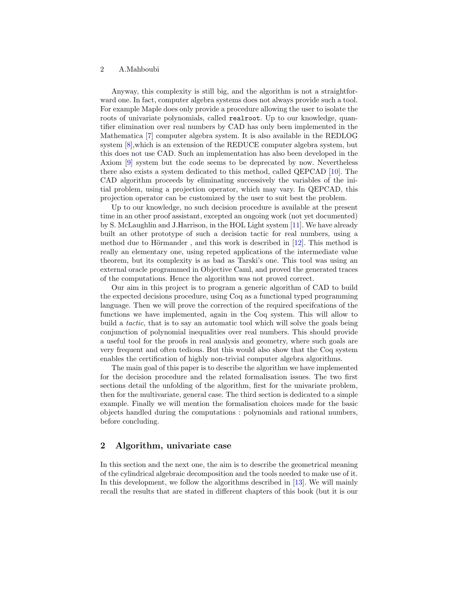Anyway, this complexity is still big, and the algorithm is not a straightforward one. In fact, computer algebra systems does not always provide such a tool. For example Maple does only provide a procedure allowing the user to isolate the roots of univariate polynomials, called realroot. Up to our knowledge, quantifier elimination over real numbers by CAD has only been implemented in the Mathematica [\[7\]](#page-17-3) computer algebra system. It is also available in the REDLOG system [\[8\]](#page-17-4),which is an extension of the REDUCE computer algebra system, but this does not use CAD. Such an implementation has also been developed in the Axiom [\[9\]](#page-17-5) system but the code seems to be deprecated by now. Nevertheless there also exists a system dedicated to this method, called QEPCAD [\[10\]](#page-17-6). The CAD algorithm proceeds by eliminating successively the variables of the initial problem, using a projection operator, which may vary. In QEPCAD, this projection operator can be customized by the user to suit best the problem.

Up to our knowledge, no such decision procedure is available at the present time in an other proof assistant, excepted an ongoing work (not yet documented) by S. McLaughlin and J.Harrison, in the HOL Light system [\[11\]](#page-17-7). We have already built an other prototype of such a decision tactic for real numbers, using a method due to Hörmander, and this work is described in  $[12]$ . This method is really an elementary one, using repeted applications of the intermediate value theorem, but its complexity is as bad as Tarski's one. This tool was using an external oracle programmed in Objective Caml, and proved the generated traces of the computations. Hence the algorithm was not proved correct.

Our aim in this project is to program a generic algorithm of CAD to build the expected decisions procedure, using Coq as a functional typed programming language. Then we will prove the correction of the required specifcations of the functions we have implemented, again in the Coq system. This will allow to build a tactic, that is to say an automatic tool which will solve the goals being conjunction of polynomial inequalities over real numbers. This should provide a useful tool for the proofs in real analysis and geometry, where such goals are very frequent and often tedious. But this would also show that the Coq system enables the certification of highly non-trivial computer algebra algorithms.

The main goal of this paper is to describe the algorithm we have implemented for the decision procedure and the related formalisation issues. The two first sections detail the unfolding of the algorithm, first for the univariate problem, then for the multivariate, general case. The third section is dedicated to a simple example. Finally we will mention the formalisation choices made for the basic objects handled during the computations : polynomials and rational numbers, before concluding.

## 2 Algorithm, univariate case

In this section and the next one, the aim is to describe the geometrical meaning of the cylindrical algebraic decomposition and the tools needed to make use of it. In this development, we follow the algorithms described in [\[13\]](#page-17-9). We will mainly recall the results that are stated in different chapters of this book (but it is our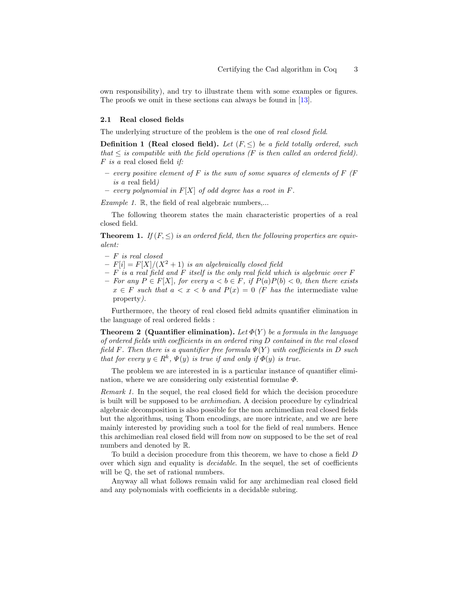own responsibility), and try to illustrate them with some examples or figures. The proofs we omit in these sections can always be found in [\[13\]](#page-17-9).

#### 2.1 Real closed fields

The underlying structure of the problem is the one of *real closed field*.

**Definition 1 (Real closed field).** Let  $(F, \leq)$  be a field totally ordered, such that  $\leq$  is compatible with the field operations (F is then called an ordered field).  $F$  is a real closed field if:

- every positive element of F is the sum of some squares of elements of F  $(F)$ is a real field)
- every polynomial in  $F[X]$  of odd degree has a root in  $F$ .

Example 1.  $\mathbb{R}$ , the field of real algebraic numbers,...

The following theorem states the main characteristic properties of a real closed field.

**Theorem 1.** If  $(F, \leq)$  is an ordered field, then the following properties are equivalent:

- F is real closed
- $-F[i] = F[X]/(X^2+1)$  is an algebraically closed field
- $-$  F is a real field and F itself is the only real field which is algebraic over F
- For any  $P \in F[X]$ , for every  $a < b \in F$ , if  $P(a)P(b) < 0$ , then there exists  $x \in F$  such that  $a < x < b$  and  $P(x) = 0$  (F has the intermediate value property).

Furthermore, the theory of real closed field admits quantifier elimination in the language of real ordered fields :

**Theorem 2 (Quantifier elimination).** Let  $\Phi(Y)$  be a formula in the language of ordered fields with coefficients in an ordered ring D contained in the real closed field F. Then there is a quantifier free formula  $\Psi(Y)$  with coefficients in D such that for every  $y \in R^k$ ,  $\Psi(y)$  is true if and only if  $\Phi(y)$  is true.

The problem we are interested in is a particular instance of quantifier elimination, where we are considering only existential formulae  $\Phi$ .

Remark 1. In the sequel, the real closed field for which the decision procedure is built will be supposed to be archimedian. A decision procedure by cylindrical algebraic decomposition is also possible for the non archimedian real closed fields but the algorithms, using Thom encodings, are more intricate, and we are here mainly interested by providing such a tool for the field of real numbers. Hence this archimedian real closed field will from now on supposed to be the set of real numbers and denoted by R.

To build a decision procedure from this theorem, we have to chose a field D over which sign and equality is decidable. In the sequel, the set of coefficients will be Q, the set of rational numbers.

Anyway all what follows remain valid for any archimedian real closed field and any polynomials with coefficients in a decidable subring.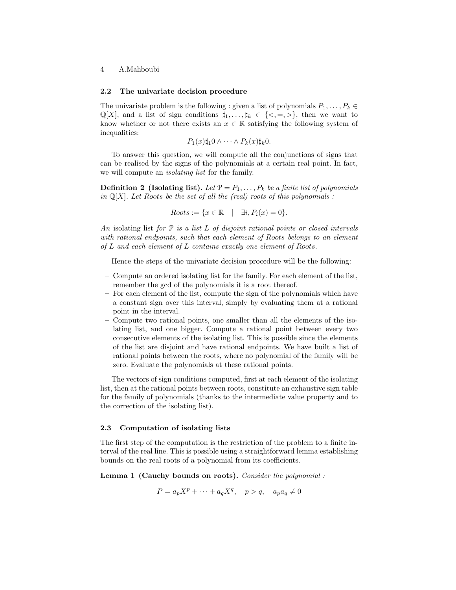#### 2.2 The univariate decision procedure

The univariate problem is the following : given a list of polynomials  $P_1, \ldots, P_k \in$  $\mathbb{Q}[X]$ , and a list of sign conditions  $\sharp_1, \ldots, \sharp_k \in \{ \leq, =, \geq \}$ , then we want to know whether or not there exists an  $x \in \mathbb{R}$  satisfying the following system of inequalities:

$$
P_1(x)\sharp_1 0 \wedge \cdots \wedge P_k(x)\sharp_k 0.
$$

To answer this question, we will compute all the conjunctions of signs that can be realised by the signs of the polynomials at a certain real point. In fact, we will compute an *isolating list* for the family.

**Definition 2 (Isolating list).** Let  $\mathcal{P} = P_1, \ldots, P_k$  be a finite list of polynomials in  $\mathbb{Q}[X]$ . Let Roots be the set of all the (real) roots of this polynomials :

$$
Roots := \{x \in \mathbb{R} \mid \exists i, P_i(x) = 0\}.
$$

An isolating list for  $P$  is a list  $L$  of disjoint rational points or closed intervals with rational endpoints, such that each element of Roots belongs to an element of L and each element of L contains exactly one element of Roots.

Hence the steps of the univariate decision procedure will be the following:

- Compute an ordered isolating list for the family. For each element of the list, remember the gcd of the polynomials it is a root thereof.
- For each element of the list, compute the sign of the polynomials which have a constant sign over this interval, simply by evaluating them at a rational point in the interval.
- Compute two rational points, one smaller than all the elements of the isolating list, and one bigger. Compute a rational point between every two consecutive elements of the isolating list. This is possible since the elements of the list are disjoint and have rational endpoints. We have built a list of rational points between the roots, where no polynomial of the family will be zero. Evaluate the polynomials at these rational points.

The vectors of sign conditions computed, first at each element of the isolating list, then at the rational points between roots, constitute an exhaustive sign table for the family of polynomials (thanks to the intermediate value property and to the correction of the isolating list).

#### <span id="page-3-0"></span>2.3 Computation of isolating lists

The first step of the computation is the restriction of the problem to a finite interval of the real line. This is possible using a straightforward lemma establishing bounds on the real roots of a polynomial from its coefficients.

Lemma 1 (Cauchy bounds on roots). Consider the polynomial :

$$
P = a_p X^p + \dots + a_q X^q, \quad p > q, \quad a_p a_q \neq 0
$$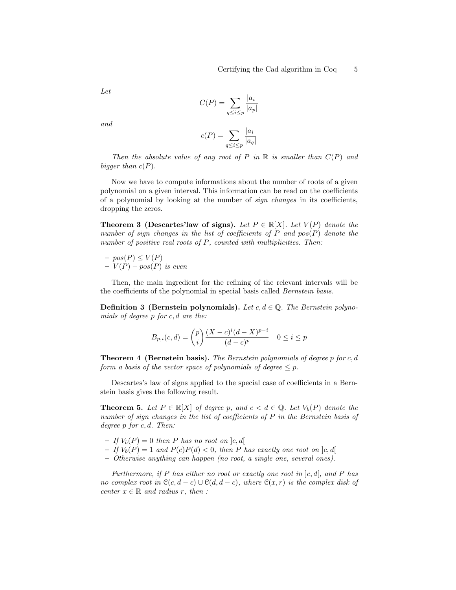Let

$$
C(P) = \sum_{q \le i \le p} \frac{|a_i|}{|a_p|}
$$

and

$$
c(P) = \sum_{q \le i \le p} \frac{|a_i|}{|a_q|}
$$

Then the absolute value of any root of P in  $\mathbb R$  is smaller than  $C(P)$  and bigger than  $c(P)$ .

Now we have to compute informations about the number of roots of a given polynomial on a given interval. This information can be read on the coefficients of a polynomial by looking at the number of sign changes in its coefficients, dropping the zeros.

**Theorem 3 (Descartes'law of signs).** Let  $P \in \mathbb{R}[X]$ . Let  $V(P)$  denote the number of sign changes in the list of coefficients of  $P$  and  $pos(P)$  denote the number of positive real roots of P, counted with multiplicities. Then:

 $– pos(P) \leq V(P)$  $-V(P) - pos(P)$  is even

Then, the main ingredient for the refining of the relevant intervals will be the coefficients of the polynomial in special basis called Bernstein basis.

**Definition 3 (Bernstein polynomials).** Let  $c, d \in \mathbb{Q}$ . The Bernstein polynomials of degree p for c, d are the:

$$
B_{p,i}(c,d) = \binom{p}{i} \frac{(X-c)^i(d-X)^{p-i}}{(d-c)^p} \quad 0 \le i \le p
$$

**Theorem 4 (Bernstein basis).** The Bernstein polynomials of degree p for c, d form a basis of the vector space of polynomials of degree  $\leq p$ .

Descartes's law of signs applied to the special case of coefficients in a Bernstein basis gives the following result.

**Theorem 5.** Let  $P \in \mathbb{R}[X]$  of degree p, and  $c < d \in \mathbb{Q}$ . Let  $V_b(P)$  denote the number of sign changes in the list of coefficients of P in the Bernstein basis of degree  $p$  for  $c, d$ . Then:

- If  $V_b(P) = 0$  then P has no root on  $[c, d]$
- If  $V_b(P) = 1$  and  $P(c)P(d) < 0$ , then P has exactly one root on  $|c, d|$
- Otherwise anything can happen (no root, a single one, several ones).

Furthermore, if P has either no root or exactly one root in  $[c, d]$ , and P has no complex root in  $\mathcal{C}(c, d-c) \cup \mathcal{C}(d, d-c)$ , where  $\mathcal{C}(x,r)$  is the complex disk of center  $x \in \mathbb{R}$  and radius r, then :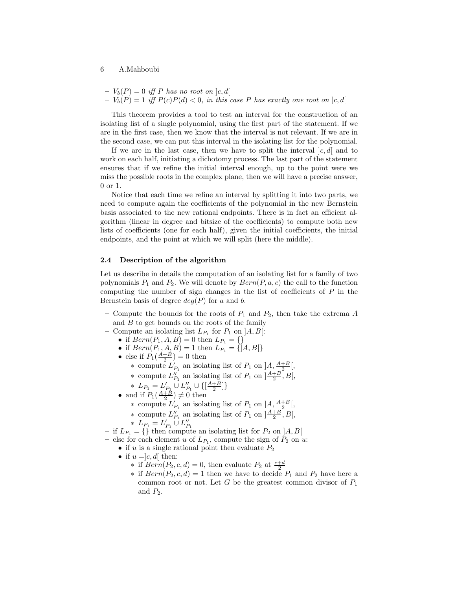$$
- V_b(P) = 0
$$
 iff P has no root on  $|c, d|$   
-  $V_b(P) = 1$  iff  $P(c)P(d) < 0$ , in this case P has exactly one root on  $|c, d|$ 

This theorem provides a tool to test an interval for the construction of an isolating list of a single polynomial, using the first part of the statement. If we are in the first case, then we know that the interval is not relevant. If we are in the second case, we can put this interval in the isolating list for the polynomial.

If we are in the last case, then we have to split the interval  $|c, d|$  and to work on each half, initiating a dichotomy process. The last part of the statement ensures that if we refine the initial interval enough, up to the point were we miss the possible roots in the complex plane, then we will have a precise answer, 0 or 1.

Notice that each time we refine an interval by splitting it into two parts, we need to compute again the coefficients of the polynomial in the new Bernstein basis associated to the new rational endpoints. There is in fact an efficient algorithm (linear in degree and bitsize of the coefficients) to compute both new lists of coefficients (one for each half), given the initial coefficients, the initial endpoints, and the point at which we will split (here the middle).

## <span id="page-5-0"></span>2.4 Description of the algorithm

Let us describe in details the computation of an isolating list for a family of two polynomials  $P_1$  and  $P_2$ . We will denote by  $Bern(P, a, c)$  the call to the function computing the number of sign changes in the list of coefficients of  $P$  in the Bernstein basis of degree  $deg(P)$  for a and b.

- Compute the bounds for the roots of  $P_1$  and  $P_2$ , then take the extrema A and  $B$  to get bounds on the roots of the family
- Compute an isolating list  $L_{P_1}$  for  $P_1$  on  $]A, B[$ :
	- if  $Bern(P_1, A, B) = 0$  then  $L_{P_1} = \{\}\$
	- if  $Bern(P_1, A, B) = 1$  then  $L_{P_1} = \{ |A, B| \}$
	- else if  $P_1(\frac{A+B}{2})=0$  then
		- ∗ compute  $L'_{P_1}$  an isolating list of  $P_1$  on  $A, \frac{A+B}{2}$ ,
		- ∗ compute  $L_{P_1}''$  an isolating list of  $P_1$  on  $\left[\frac{A+B}{2}, B\right],$
		- \*  $L_{P_1} = L'_{P_1} \cup L''_{P_1} \cup \{[\frac{A+B}{2}]\}$
	- and if  $P_1(\frac{A+B}{2}) \neq 0$  then
		- ∗ compute  $L'_{P_1}$  an isolating list of  $P_1$  on  $A, \frac{A+B}{2}$ ,
		- ∗ compute  $L_{P_1}''$  an isolating list of  $P_1$  on  $\left[\frac{A+B}{2}, B\right],$
		-
- $* L_{P_1} = L'_{P_1} \cup L''_{P_1}$ <br>
− if  $L_{P_1} = \{\}\$  then compute an isolating list for  $P_2$  on ]A, B[
- else for each element u of  $L_{P_1}$ , compute the sign of  $P_2$  on u:
	- if u is a single rational point then evaluate  $P_2$
	- if  $u = c, d$  then:
		- \* if  $Bern(P_2, c, d) = 0$ , then evaluate  $P_2$  at  $\frac{c+d}{2}$
		- ∗ if  $Bern(P_2, c, d) = 1$  then we have to decide  $P_1$  and  $P_2$  have here a common root or not. Let  $G$  be the greatest common divisor of  $P_1$ and  $P_2$ .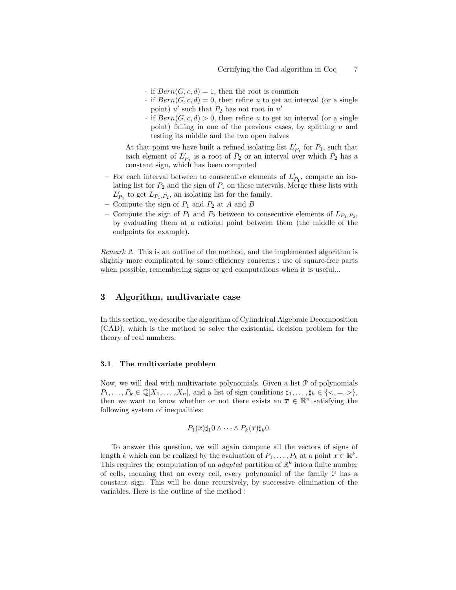- · if  $Bern(G, c, d) = 1$ , then the root is common
- · if  $Bern(G, c, d) = 0$ , then refine u to get an interval (or a single point)  $u'$  such that  $P_2$  has not root in  $u'$
- · if  $Bern(G, c, d) > 0$ , then refine u to get an interval (or a single point) falling in one of the previous cases, by splitting  $u$  and testing its middle and the two open halves

At that point we have built a refined isolating list  $L'_{P_1}$  for  $P_1$ , such that each element of  $L'_{P_1}$  is a root of  $P_2$  or an interval over which  $P_2$  has a constant sign, which has been computed

- For each interval between to consecutive elements of  $L'_{P_1}$ , compute an isolating list for  $P_2$  and the sign of  $P_1$  on these intervals. Merge these lists with  $L'_{P_1}$  to get  $L_{P_1,P_2}$ , an isolating list for the family.
- Compute the sign of  $P_1$  and  $P_2$  at A and B
- Compute the sign of  $P_1$  and  $P_2$  between to consecutive elements of  $L_{P_1,P_2}$ , by evaluating them at a rational point between them (the middle of the endpoints for example).

Remark 2. This is an outline of the method, and the implemented algorithm is slightly more complicated by some efficiency concerns : use of square-free parts when possible, remembering signs or gcd computations when it is useful...

# 3 Algorithm, multivariate case

In this section, we describe the algorithm of Cylindrical Algebraic Decomposition (CAD), which is the method to solve the existential decision problem for the theory of real numbers.

#### 3.1 The multivariate problem

Now, we will deal with multivariate polynomials. Given a list P of polynomials  $P_1, \ldots, P_k \in \mathbb{Q}[X_1, \ldots, X_n]$ , and a list of sign conditions  $\sharp_1, \ldots, \sharp_k \in \{<, =, >\},$ then we want to know whether or not there exists an  $\bar{x} \in \mathbb{R}^n$  satisfying the following system of inequalities:

$$
P_1(\overline{x})\sharp_1 0 \wedge \cdots \wedge P_k(\overline{x})\sharp_k 0.
$$

To answer this question, we will again compute all the vectors of signs of length k which can be realized by the evaluation of  $P_1, \ldots, P_k$  at a point  $\overline{x} \in \mathbb{R}^k$ . This requires the computation of an *adapted* partition of  $\mathbb{R}^k$  into a finite number of cells, meaning that on every cell, every polynomial of the family P has a constant sign. This will be done recursively, by successive elimination of the variables. Here is the outline of the method :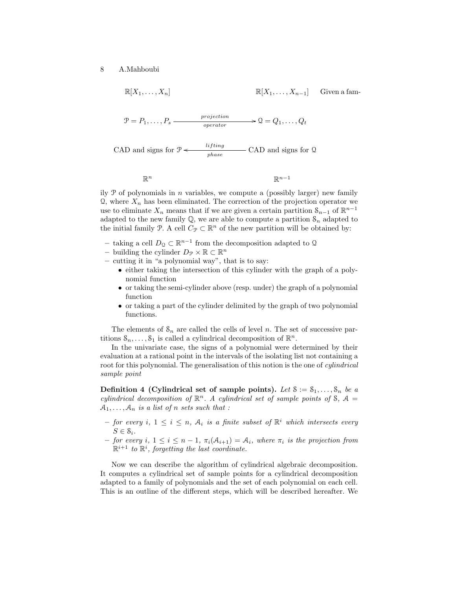$$
\mathbb{R}[X_1, \dots, X_n]
$$
\n
$$
\mathbb{R}[X_1, \dots, X_{n-1}]
$$
 Given a fam-  
\n
$$
\mathcal{P} = P_1, \dots, P_s
$$
\n*projection*\n
$$
\mathcal{Q} = Q_1, \dots, Q_t
$$
\n
$$
CAD \text{ and signs for } \mathcal{P} \longleftarrow \text{ lifting \n
$$
\text{p}^{hase}
$$
\n
$$
\text{CAD and signs for } \mathcal{Q}
$$
$$

 $\mathbb{R}^n$  $n \times n$ 

 $\mathbb{R}^{n-1}$ 

ily  $\mathcal P$  of polynomials in *n* variables, we compute a (possibly larger) new family  $\Omega$ , where  $X_n$  has been eliminated. The correction of the projection operator we use to eliminate  $X_n$  means that if we are given a certain partition  $S_{n-1}$  of  $\mathbb{R}^{n-1}$ adapted to the new family  $\mathbb{Q}$ , we are able to compute a partition  $\mathcal{S}_n$  adapted to the initial family P. A cell  $C_{\mathcal{P}} \subset \mathbb{R}^n$  of the new partition will be obtained by:

- − taking a cell  $D_0 \subset \mathbb{R}^{n-1}$  from the decomposition adapted to Q
- building the cylinder  $D_{\mathcal{P}} \times \mathbb{R} \subset \mathbb{R}^n$
- cutting it in "a polynomial way", that is to say:
	- either taking the intersection of this cylinder with the graph of a polynomial function
	- or taking the semi-cylinder above (resp. under) the graph of a polynomial function
	- or taking a part of the cylinder delimited by the graph of two polynomial functions.

The elements of  $S_n$  are called the cells of level n. The set of successive partitions  $S_n, \ldots, S_1$  is called a cylindrical decomposition of  $\mathbb{R}^n$ .

In the univariate case, the signs of a polynomial were determined by their evaluation at a rational point in the intervals of the isolating list not containing a root for this polynomial. The generalisation of this notion is the one of *cylindrical* sample point

**Definition 4 (Cylindrical set of sample points).** Let  $S := S_1, \ldots, S_n$  be a cylindrical decomposition of  $\mathbb{R}^n$ . A cylindrical set of sample points of S, A =  $A_1, \ldots, A_n$  is a list of n sets such that :

- $-$  for every i,  $1 \leq i \leq n$ ,  $A_i$  is a finite subset of  $\mathbb{R}^i$  which intersects every  $S \in \mathcal{S}_i$ .
- for every i,  $1 \leq i \leq n-1$ ,  $\pi_i(\mathcal{A}_{i+1}) = \mathcal{A}_i$ , where  $\pi_i$  is the projection from  $\mathbb{R}^{i+1}$  to  $\mathbb{R}^i$ , forgetting the last coordinate.

Now we can describe the algorithm of cylindrical algebraic decomposition. It computes a cylindrical set of sample points for a cylindrical decomposition adapted to a family of polynomials and the set of each polynomial on each cell. This is an outline of the different steps, which will be described hereafter. We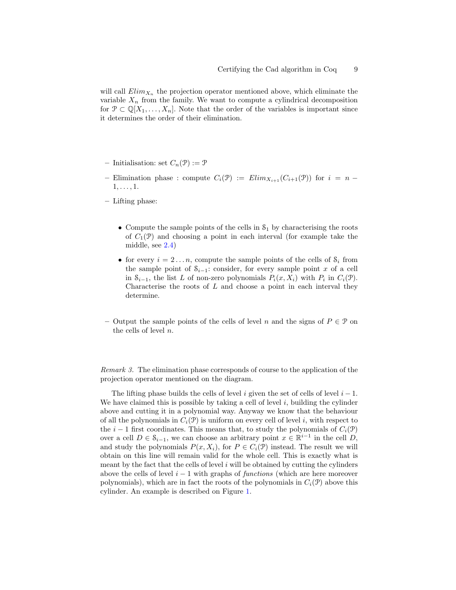will call  $Elim_{X_n}$  the projection operator mentioned above, which eliminate the variable  $X_n$  from the family. We want to compute a cylindrical decomposition for  $\mathcal{P} \subset \mathbb{Q}[X_1,\ldots,X_n]$ . Note that the order of the variables is important since it determines the order of their elimination.

- Initialisation: set  $C_n(\mathcal{P}) := \mathcal{P}$
- Elimination phase : compute  $C_i(\mathcal{P}) := Elim_{X_{i+1}}(C_{i+1}(\mathcal{P}))$  for  $i = n -$ 1, . . . , 1.
- Lifting phase:
	- Compute the sample points of the cells in  $S_1$  by characterising the roots of  $C_1(\mathcal{P})$  and choosing a point in each interval (for example take the middle, see [2.4\)](#page-5-0)
	- for every  $i = 2...n$ , compute the sample points of the cells of  $S_i$  from the sample point of  $S_{i-1}$ : consider, for every sample point x of a cell in  $S_{i-1}$ , the list L of non-zero polynomials  $P_i(x, X_i)$  with  $P_i$  in  $C_i(\mathcal{P})$ . Characterise the roots of  $L$  and choose a point in each interval they determine.
- Output the sample points of the cells of level n and the signs of  $P \in \mathcal{P}$  on the cells of level n.

Remark 3. The elimination phase corresponds of course to the application of the projection operator mentioned on the diagram.

The lifting phase builds the cells of level i given the set of cells of level  $i - 1$ . We have claimed this is possible by taking a cell of level  $i$ , building the cylinder above and cutting it in a polynomial way. Anyway we know that the behaviour of all the polynomials in  $C_i(\mathcal{P})$  is uniform on every cell of level i, with respect to the i − 1 first coordinates. This means that, to study the polynomials of  $C_i(\mathcal{P})$ over a cell  $D \in \mathcal{S}_{i-1}$ , we can choose an arbitrary point  $x \in \mathbb{R}^{i-1}$  in the cell  $D$ , and study the polynomials  $P(x, X_i)$ , for  $P \in C_i(\mathcal{P})$  instead. The result we will obtain on this line will remain valid for the whole cell. This is exactly what is meant by the fact that the cells of level  $i$  will be obtained by cutting the cylinders above the cells of level  $i - 1$  with graphs of functions (which are here moreover polynomials), which are in fact the roots of the polynomials in  $C_i(\mathcal{P})$  above this cylinder. An example is described on Figure [1.](#page-9-0)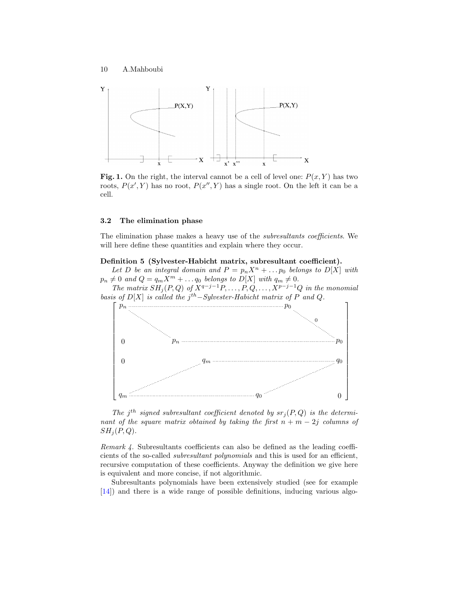

<span id="page-9-0"></span>Fig. 1. On the right, the interval cannot be a cell of level one:  $P(x, Y)$  has two roots,  $P(x', Y)$  has no root,  $P(x'', Y)$  has a single root. On the left it can be a cell.

## 3.2 The elimination phase

The elimination phase makes a heavy use of the subresultants coefficients. We will here define these quantities and explain where they occur.

Definition 5 (Sylvester-Habicht matrix, subresultant coefficient).

Let D be an integral domain and  $P = p_n X^n + ... p_0$  belongs to  $D[X]$  with  $p_n \neq 0$  and  $Q = q_m X^m + \ldots q_0$  belongs to  $D[X]$  with  $q_m \neq 0$ .

The matrix  $SH_j(P,Q)$  of  $X^{q-j-1}P, \ldots, P, Q, \ldots, X^{p-j-1}Q$  in the monomial basis of  $D[X]$  is called the j<sup>th</sup>-Sylvester-Habicht matrix of P and Q.



The j<sup>th</sup> signed subresultant coefficient denoted by  $sr_j(P,Q)$  is the determinant of the square matrix obtained by taking the first  $n + m - 2j$  columns of  $SH<sub>i</sub>(P,Q).$ 

Remark 4. Subresultants coefficients can also be defined as the leading coefficients of the so-called subresultant polynomials and this is used for an efficient, recursive computation of these coefficients. Anyway the definition we give here is equivalent and more concise, if not algorithmic.

Subresultants polynomials have been extensively studied (see for example [\[14\]](#page-17-10)) and there is a wide range of possible definitions, inducing various algo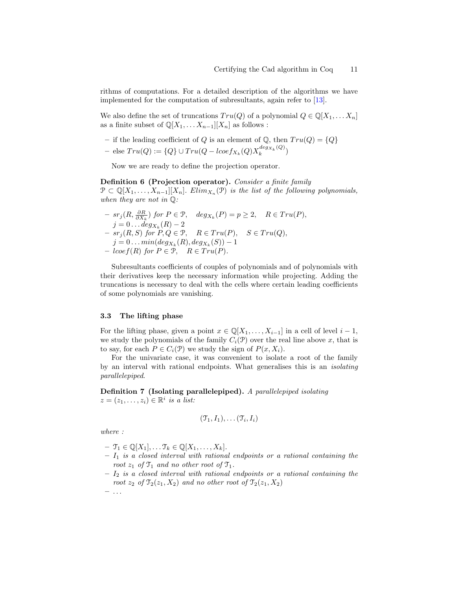rithms of computations. For a detailed description of the algorithms we have implemented for the computation of subresultants, again refer to [\[13\]](#page-17-9).

We also define the set of truncations  $Tru(Q)$  of a polynomial  $Q \in \mathbb{Q}[X_1, \ldots, X_n]$ as a finite subset of  $\mathbb{Q}[X_1, \ldots X_{n-1}][X_n]$  as follows :

- if the leading coefficient of Q is an element of  $\mathbb{Q}$ , then  $Tru(Q) = \{Q\}$
- else  $Tru(Q) := \{Q\} \cup Tru(Q locef_{X_k}(Q)X_k^{deg_{X_k}(Q)}$  $\binom{deg_{X_k}(\mathcal{Q})}{k}$

Now we are ready to define the projection operator.

Definition 6 (Projection operator). Consider a finite family  $\mathcal{P} \subset \mathbb{Q}[X_1,\ldots,X_{n-1}][X_n]$ . Elim $_{X_n}(\mathcal{P})$  is the list of the following polynomials, when they are not in  $\mathbb{Q}$ :

$$
- srj(R, \frac{\partial R}{\partial X_k}) for P \in \mathcal{P}, \quad deg_{X_k}(P) = p \ge 2, \quad R \in Tru(P),
$$
  
\n
$$
j = 0 \dots deg_{X_k}(R) - 2
$$
  
\n
$$
- srj(R, S) for P, Q \in \mathcal{P}, \quad R \in Tru(P), \quad S \in Tru(Q),
$$
  
\n
$$
j = 0 \dots min(deg_{X_k}(R), deg_{X_k}(S)) - 1
$$
  
\n
$$
- locef(R) for P \in \mathcal{P}, \quad R \in Tru(P).
$$

Subresultants coefficients of couples of polynomials and of polynomials with their derivatives keep the necessary information while projecting. Adding the truncations is necessary to deal with the cells where certain leading coefficients of some polynomials are vanishing.

#### 3.3 The lifting phase

For the lifting phase, given a point  $x \in \mathbb{Q}[X_1, \ldots, X_{i-1}]$  in a cell of level  $i-1$ , we study the polynomials of the family  $C_i(\mathcal{P})$  over the real line above x, that is to say, for each  $P \in C_i(\mathcal{P})$  we study the sign of  $P(x, X_i)$ .

For the univariate case, it was convenient to isolate a root of the family by an interval with rational endpoints. What generalises this is an isolating parallelepiped.

Definition 7 (Isolating parallelepiped). A parallelepiped isolating  $z = (z_1, \ldots, z_i) \in \mathbb{R}^i$  is a list:

$$
(\mathfrak{T}_1,I_1),\ldots(\mathfrak{T}_i,I_i)
$$

where :

- $-\mathcal{T}_1 \in \mathbb{Q}[X_1], \ldots \mathcal{T}_k \in \mathbb{Q}[X_1, \ldots, X_k].$
- $I_1$  is a closed interval with rational endpoints or a rational containing the root  $z_1$  of  $\mathfrak{T}_1$  and no other root of  $\mathfrak{T}_1$ .
- $I_2$  is a closed interval with rational endpoints or a rational containing the root  $z_2$  of  $\mathcal{T}_2(z_1, X_2)$  and no other root of  $\mathcal{T}_2(z_1, X_2)$

 $-$  . . .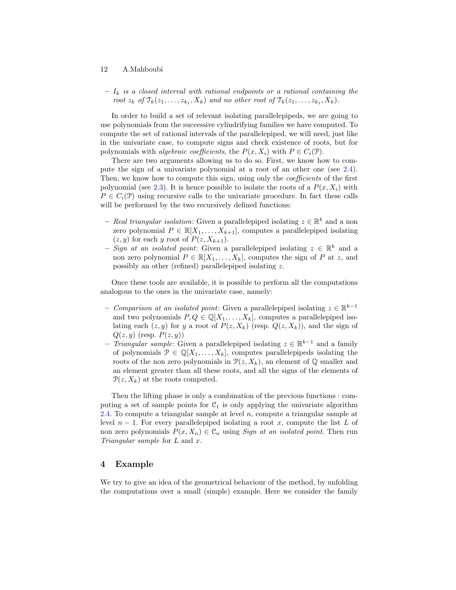$-I_k$  is a closed interval with rational endpoints or a rational containing the root  $z_k$  of  $\mathfrak{T}_k(z_1,\ldots,z_{k_1},X_k)$  and no other root of  $\mathfrak{T}_k(z_1,\ldots,z_{k_1},X_k)$ .

In order to build a set of relevant isolating parallelepipeds, we are going to use polynomials from the successive cylindrifying families we have computed. To compute the set of rational intervals of the parallelepiped, we will need, just like in the univariate case, to compute signs and check existence of roots, but for polynomials with *algebraic coefficients*, the  $P(x, X_i)$  with  $P \in C_i(\mathcal{P})$ .

There are two arguments allowing us to do so. First, we know how to compute the sign of a univariate polynomial at a root of an other one (see [2.4\)](#page-5-0). Then, we know how to compute this sign, using only the *coefficients* of the first polynomial (see [2.3\)](#page-3-0). It is hence possible to isolate the roots of a  $P(x, X<sub>i</sub>)$  with  $P \in C_i(\mathcal{P})$  using recursive calls to the univariate procedure. In fact these calls will be performed by the two recursively defined functions:

- Real triangular isolation: Given a parallelepiped isolating  $z \in \mathbb{R}^k$  and a non zero polynomial  $P \in \mathbb{R}[X_1, \ldots, X_{k+1}],$  computes a parallelepiped isolating  $(z, y)$  for each y root of  $P(z, X_{k+1})$ .
- Sign at an isolated point: Given a parallelepiped isolating  $z \in \mathbb{R}^k$  and a non zero polynomial  $P \in \mathbb{R}[X_1, \ldots, X_k]$ , computes the sign of P at z, and possibly an other (refined) parallelepiped isolating z.

Once these tools are available, it is possible to perform all the computations analogous to the ones in the univariate case, namely:

- Comparison at an isolated point: Given a parallelepiped isolating  $z \in \mathbb{R}^{k-1}$ and two polynomials  $P, Q \in \mathbb{Q}[X_1, \ldots, X_k]$ , computes a parallelepiped isolating each  $(z, y)$  for y a root of  $P(z, X_k)$  (resp.  $Q(z, X_k)$ ), and the sign of  $Q(z, y)$  (resp.  $P(z, y)$ )
- *Triangular sample:* Given a parallelepiped isolating  $z \in \mathbb{R}^{k-1}$  and a family of polynomials  $\mathcal{P} \in \mathbb{Q}[X_1,\ldots,X_k]$ , computes parallelepipeds isolating the roots of the non zero polynomials in  $\mathcal{P}(z, X_k)$ , an element of Q smaller and an element greater than all these roots, and all the signs of the elements of  $\mathcal{P}(z, X_k)$  at the roots computed.

Then the lifting phase is only a combination of the previous functions : computing a set of sample points for  $C_1$  is only applying the univariate algorithm  $2.4.$  To compute a triangular sample at level  $n$ , compute a triangular sample at level  $n-1$ . For every parallelepiped isolating a root x, compute the list L of non zero polynomials  $P(x, X_n) \in \mathcal{C}_n$  using Sign at an isolated point. Then run Triangular sample for L and x.

## 4 Example

We try to give an idea of the geometrical behaviour of the method, by unfolding the computations over a small (simple) example. Here we consider the family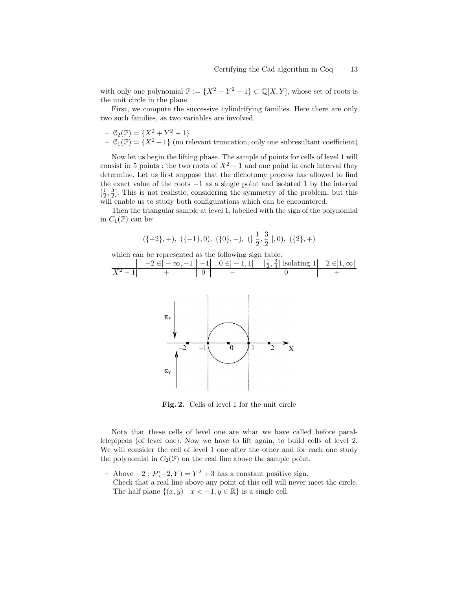with only one polynomial  $\mathcal{P} := \{X^2 + Y^2 - 1\} \subset \mathbb{Q}[X, Y]$ , whose set of roots is the unit circle in the plane.

First, we compute the successive cylindrifying families. Here there are only two such families, as two variables are involved.

 $- C_2(\mathcal{P}) = \{X^2 + Y^2 - 1\}$  $-$  C<sub>1</sub>(P) = { $X^2-1$ } (no relevant truncation, only one subresultant coefficient)

Now let us begin the lifting phase. The sample of points for cells of level 1 will consist in 5 points : the two roots of  $X^2 - 1$  and one point in each interval they determine. Let us first suppose that the dichotomy process has allowed to find the exact value of the roots  $-1$  as a single point and isolated 1 by the interval  $\left[\frac{1}{2}, \frac{3}{2}\right]$ . This is not realistic, considering the symmetry of the problem, but this will enable us to study both configurations which can be encountered.

Then the triangular sample at level 1, labelled with the sign of the polynomial in  $C_1(\mathcal{P})$  can be:

$$
(\{-2\}, +), \; (\{-1\}, 0), \; (\{0\}, -), \; (\lfloor \frac{1}{2}, \frac{3}{2} \rfloor, 0), \; (\{2\}, +)
$$



Fig. 2. Cells of level 1 for the unit circle

Nota that these cells of level one are what we have called before parallelepipeds (of level one). Now we have to lift again, to build cells of level 2. We will consider the cell of level 1 one after the other and for each one study the polynomial in  $C_2(\mathcal{P})$  on the real line above the sample point.

 $-$  Above  $-2$ :  $P(-2, Y) = Y^2 + 3$  has a constant positive sign.

 $\pi$ 

Check that a real line above any point of this cell will never meet the circle. The half plane  $\{(x, y) \mid x < -1, y \in \mathbb{R}\}\)$  is a single cell.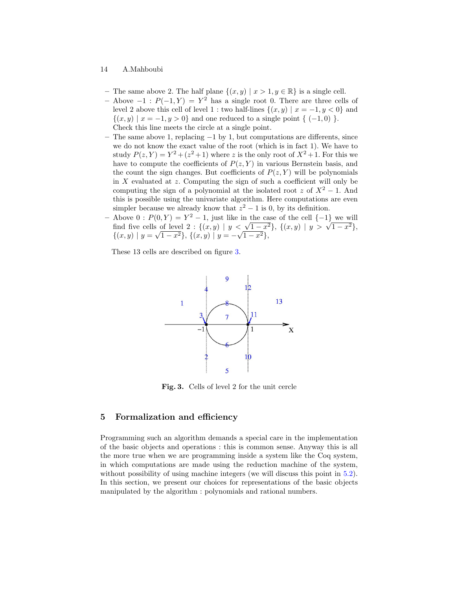- The same above 2. The half plane  $\{(x, y) | x > 1, y \in \mathbb{R}\}\)$  is a single cell.
- − Above  $-1$ :  $P(-1, Y) = Y^2$  has a single root 0. There are three cells of level 2 above this cell of level 1 : two half-lines  $\{(x, y) | x = -1, y < 0\}$  and  $\{(x, y) | x = -1, y > 0\}$  and one reduced to a single point  $\{ (-1, 0) \}$ . Check this line meets the circle at a single point.
- The same above 1, replacing −1 by 1, but computations are differents, since we do not know the exact value of the root (which is in fact 1). We have to study  $P(z, Y) = Y^2 + (z^2 + 1)$  where z is the only root of  $X^2 + 1$ . For this we have to compute the coefficients of  $P(z, Y)$  in various Bernstein basis, and the count the sign changes. But coefficients of  $P(z, Y)$  will be polynomials in  $X$  evaluated at  $z$ . Computing the sign of such a coefficient will only be computing the sign of a polynomial at the isolated root z of  $X^2 - 1$ . And this is possible using the univariate algorithm. Here computations are even simpler because we already know that  $z^2 - 1$  is 0, by its definition.
- Above  $0: P(0, Y) = Y^2 1$ , just like in the case of the cell  $\{-1\}$  we will Above  $0: P(0, Y) = Y^2 - 1$ , just like in the case of the cell  $\{-1\}$  we will<br>find five cells of level  $2: \{(x, y) | y < \sqrt{1-x^2}\}, \{(x, y) | y > \sqrt{1-x^2}\}$ ,  $\{(x, y) | y =$ √ or level 2 : { $(x, y)$  |  $y <$ <br> $\overline{1-x^2}$ }, { $(x, y)$  |  $y = -\sqrt{}$  $\overline{1-x^2},$

These 13 cells are described on figure [3.](#page-13-0)



<span id="page-13-0"></span>Fig. 3. Cells of level 2 for the unit cercle

## 5 Formalization and efficiency

Programming such an algorithm demands a special care in the implementation of the basic objects and operations : this is common sense. Anyway this is all the more true when we are programming inside a system like the Coq system, in which computations are made using the reduction machine of the system, without possibility of using machine integers (we will discuss this point in [5.2\)](#page-15-0). In this section, we present our choices for representations of the basic objects manipulated by the algorithm : polynomials and rational numbers.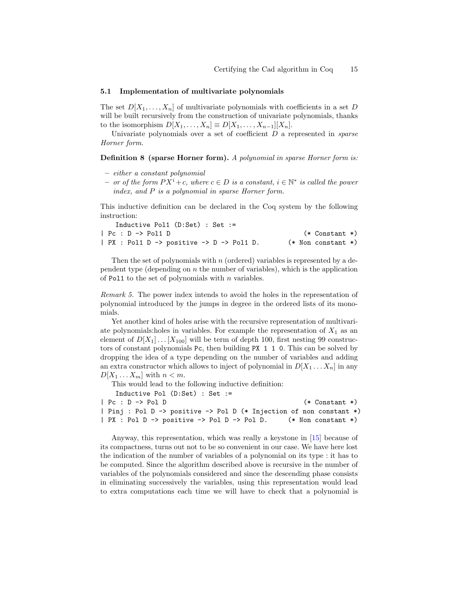## 5.1 Implementation of multivariate polynomials

The set  $D[X_1, \ldots, X_n]$  of multivariate polynomials with coefficients in a set D will be built recursively from the construction of univariate polynomials, thanks to the isomorphism  $D[X_1, \ldots, X_n] \equiv D[X_1, \ldots, X_{n-1}][X_n]$ .

Univariate polynomials over a set of coefficient  $D$  a represented in *sparse* Horner form.

#### **Definition 8** (sparse Horner form). A polynomial in sparse Horner form is:

- either a constant polynomial
- $-$  or of the form  $PX^i + c$ , where  $c \in D$  is a constant,  $i \in \mathbb{N}^*$  is called the power index, and P is a polynomial in sparse Horner form.

This inductive definition can be declared in the Coq system by the following instruction:

| Inductive Pol1 $(D:Set)$ : Set :=           |                        |
|---------------------------------------------|------------------------|
| $ $ Pc : D $\rightarrow$ Pol1 D             | $(*$ Constant $*)$     |
| $ $ PX : Pol1 D -> positive -> D -> Pol1 D. | $(*$ Non constant $*)$ |

Then the set of polynomials with  $n$  (ordered) variables is represented by a dependent type (depending on  $n$  the number of variables), which is the application of Pol1 to the set of polynomials with  $n$  variables.

Remark 5. The power index intends to avoid the holes in the representation of polynomial introduced by the jumps in degree in the ordered lists of its monomials.

Yet another kind of holes arise with the recursive representation of multivariate polynomials: holes in variables. For example the representation of  $X_1$  as an element of  $D[X_1] \dots [X_{100}]$  will be term of depth 100, first nesting 99 constructors of constant polynomials Pc, then building PX 1 1 0. This can be solved by dropping the idea of a type depending on the number of variables and adding an extra constructor which allows to inject of polynomial in  $D[X_1 \ldots X_n]$  in any  $D[X_1 \ldots X_m]$  with  $n < m$ .

This would lead to the following inductive definition:

|                     | Inductive Pol $(D:Set)$ : Set := |                                                                      |                |  |
|---------------------|----------------------------------|----------------------------------------------------------------------|----------------|--|
| $ $ Pc : D -> Pol D |                                  |                                                                      | (* Constant *) |  |
|                     |                                  | Pinj : Pol D -> positive -> Pol D (* Injection of non constant *)    |                |  |
|                     |                                  | $ $ PX : Pol D -> positive -> Pol D -> Pol D. $(*$ Non constant $*)$ |                |  |

Anyway, this representation, which was really a keystone in [\[15\]](#page-17-11) because of its compactness, turns out not to be so convenient in our case. We have here lost the indication of the number of variables of a polynomial on its type : it has to be computed. Since the algorithm described above is recursive in the number of variables of the polynomials considered and since the descending phase consists in eliminating successively the variables, using this representation would lead to extra computations each time we will have to check that a polynomial is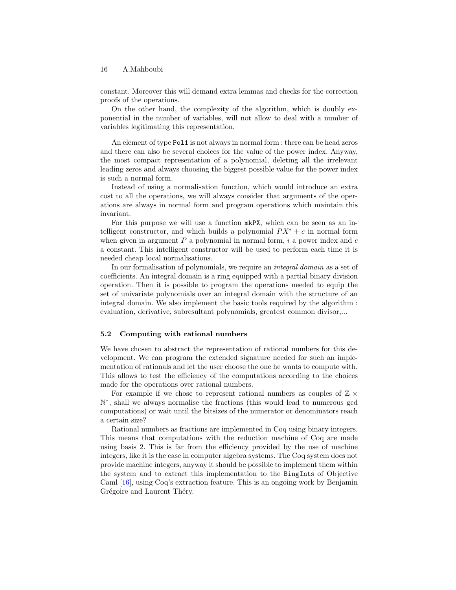constant. Moreover this will demand extra lemmas and checks for the correction proofs of the operations.

On the other hand, the complexity of the algorithm, which is doubly exponential in the number of variables, will not allow to deal with a number of variables legitimating this representation.

An element of type Pol1 is not always in normal form : there can be head zeros and there can also be several choices for the value of the power index. Anyway, the most compact representation of a polynomial, deleting all the irrelevant leading zeros and always choosing the biggest possible value for the power index is such a normal form.

Instead of using a normalisation function, which would introduce an extra cost to all the operations, we will always consider that arguments of the operations are always in normal form and program operations which maintain this invariant.

For this purpose we will use a function mkPX, which can be seen as an intelligent constructor, and which builds a polynomial  $PX^{i} + c$  in normal form when given in argument  $P$  a polynomial in normal form,  $i$  a power index and  $c$ a constant. This intelligent constructor will be used to perform each time it is needed cheap local normalisations.

In our formalisation of polynomials, we require an integral domain as a set of coefficients. An integral domain is a ring equipped with a partial binary division operation. Then it is possible to program the operations needed to equip the set of univariate polynomials over an integral domain with the structure of an integral domain. We also implement the basic tools required by the algorithm : evaluation, derivative, subresultant polynomials, greatest common divisor,...

#### <span id="page-15-0"></span>5.2 Computing with rational numbers

We have chosen to abstract the representation of rational numbers for this development. We can program the extended signature needed for such an implementation of rationals and let the user choose the one he wants to compute with. This allows to test the efficiency of the computations according to the choices made for the operations over rational numbers.

For example if we chose to represent rational numbers as couples of  $\mathbb{Z} \times$ N ∗ , shall we always normalise the fractions (this would lead to numerous gcd computations) or wait until the bitsizes of the numerator or denominators reach a certain size?

Rational numbers as fractions are implemented in Coq using binary integers. This means that computations with the reduction machine of Coq are made using basis 2. This is far from the efficiency provided by the use of machine integers, like it is the case in computer algebra systems. The Coq system does not provide machine integers, anyway it should be possible to implement them within the system and to extract this implementation to the BingInts of Objective Caml [\[16\]](#page-17-12), using Coq's extraction feature. This is an ongoing work by Benjamin Grégoire and Laurent Théry.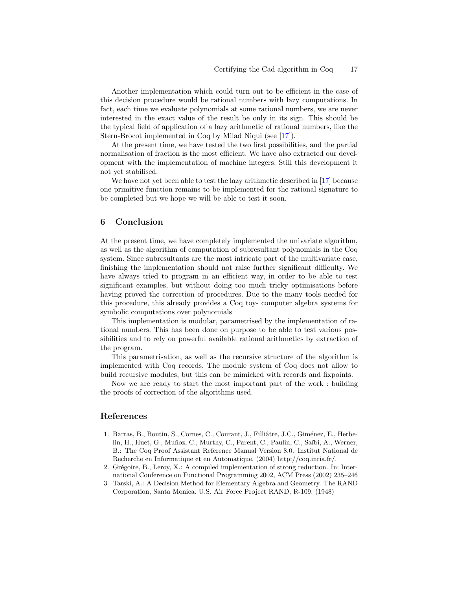Another implementation which could turn out to be efficient in the case of this decision procedure would be rational numbers with lazy computations. In fact, each time we evaluate polynomials at some rational numbers, we are never interested in the exact value of the result be only in its sign. This should be the typical field of application of a lazy arithmetic of rational numbers, like the Stern-Brocot implemented in Coq by Milad Niqui (see [\[17\]](#page-17-13)).

At the present time, we have tested the two first possibilities, and the partial normalisation of fraction is the most efficient. We have also extracted our development with the implementation of machine integers. Still this development it not yet stabilised.

We have not yet been able to test the lazy arithmetic described in [\[17\]](#page-17-13) because one primitive function remains to be implemented for the rational signature to be completed but we hope we will be able to test it soon.

## 6 Conclusion

At the present time, we have completely implemented the univariate algorithm, as well as the algorithm of computation of subresultant polynomials in the Coq system. Since subresultants are the most intricate part of the multivariate case, finishing the implementation should not raise further significant difficulty. We have always tried to program in an efficient way, in order to be able to test significant examples, but without doing too much tricky optimisations before having proved the correction of procedures. Due to the many tools needed for this procedure, this already provides a Coq toy- computer algebra systems for symbolic computations over polynomials

This implementation is modular, parametrised by the implementation of rational numbers. This has been done on purpose to be able to test various possibilities and to rely on powerful available rational arithmetics by extraction of the program.

This parametrisation, as well as the recursive structure of the algorithm is implemented with Coq records. The module system of Coq does not allow to build recursive modules, but this can be mimicked with records and fixpoints.

Now we are ready to start the most important part of the work : building the proofs of correction of the algorithms used.

# References

- <span id="page-16-0"></span>1. Barras, B., Boutin, S., Cornes, C., Courant, J., Filliâtre, J.C., Giménez, E., Herbelin, H., Huet, G., Muñoz, C., Murthy, C., Parent, C., Paulin, C., Saïbi, A., Werner, B.: The Coq Proof Assistant Reference Manual Version 8.0. Institut National de Recherche en Informatique et en Automatique. (2004) http://coq.inria.fr/.
- <span id="page-16-1"></span>2. Grégoire, B., Leroy, X.: A compiled implementation of strong reduction. In: International Conference on Functional Programming 2002, ACM Press (2002) 235–246
- <span id="page-16-2"></span>3. Tarski, A.: A Decision Method for Elementary Algebra and Geometry. The RAND Corporation, Santa Monica. U.S. Air Force Project RAND, R-109. (1948)